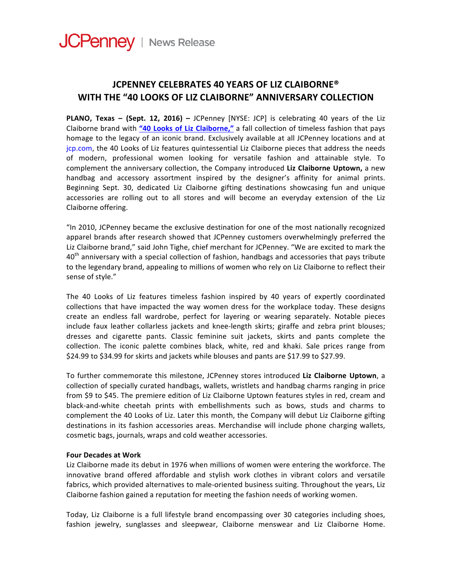## **JCPENNEY CELEBRATES 40 YEARS OF LIZ CLAIBORNE® WITH THE "40 LOOKS OF LIZ CLAIBORNE" ANNIVERSARY COLLECTION**

**PLANO, Texas – (Sept. 12, 2016) – JCPenney [NYSE: JCP] is celebrating 40 years of the Liz** Claiborne brand with "40 Looks of Liz Claiborne," a fall collection of timeless fashion that pays homage to the legacy of an iconic brand. Exclusively available at all JCPenney locations and at jcp.com, the 40 Looks of Liz features quintessential Liz Claiborne pieces that address the needs of modern, professional women looking for versatile fashion and attainable style. To complement the anniversary collection, the Company introduced Liz Claiborne Uptown, a new handbag and accessory assortment inspired by the designer's affinity for animal prints. Beginning Sept. 30, dedicated Liz Claiborne gifting destinations showcasing fun and unique accessories are rolling out to all stores and will become an everyday extension of the Liz Claiborne offering.

"In 2010, JCPenney became the exclusive destination for one of the most nationally recognized apparel brands after research showed that JCPenney customers overwhelmingly preferred the Liz Claiborne brand," said John Tighe, chief merchant for JCPenney. "We are excited to mark the  $40<sup>th</sup>$  anniversary with a special collection of fashion, handbags and accessories that pays tribute to the legendary brand, appealing to millions of women who rely on Liz Claiborne to reflect their sense of style."

The 40 Looks of Liz features timeless fashion inspired by 40 years of expertly coordinated collections that have impacted the way women dress for the workplace today. These designs create an endless fall wardrobe, perfect for layering or wearing separately. Notable pieces include faux leather collarless jackets and knee-length skirts; giraffe and zebra print blouses; dresses and cigarette pants. Classic feminine suit jackets, skirts and pants complete the collection. The iconic palette combines black, white, red and khaki. Sale prices range from \$24.99 to \$34.99 for skirts and jackets while blouses and pants are \$17.99 to \$27.99.

To further commemorate this milestone, JCPenney stores introduced Liz Claiborne Uptown, a collection of specially curated handbags, wallets, wristlets and handbag charms ranging in price from \$9 to \$45. The premiere edition of Liz Claiborne Uptown features styles in red, cream and black-and-white cheetah prints with embellishments such as bows, studs and charms to complement the 40 Looks of Liz. Later this month, the Company will debut Liz Claiborne gifting destinations in its fashion accessories areas. Merchandise will include phone charging wallets, cosmetic bags, journals, wraps and cold weather accessories.

## **Four Decades at Work**

Liz Claiborne made its debut in 1976 when millions of women were entering the workforce. The innovative brand offered affordable and stylish work clothes in vibrant colors and versatile fabrics, which provided alternatives to male-oriented business suiting. Throughout the years, Liz Claiborne fashion gained a reputation for meeting the fashion needs of working women.

Today, Liz Claiborne is a full lifestyle brand encompassing over 30 categories including shoes, fashion jewelry, sunglasses and sleepwear, Claiborne menswear and Liz Claiborne Home.